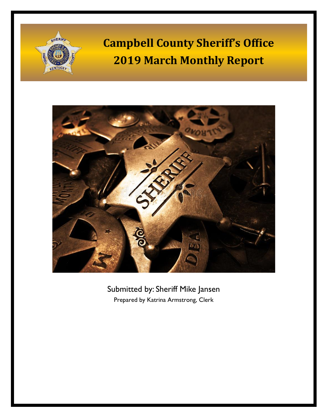



Submitted by: Sheriff Mike Jansen Prepared by Katrina Armstrong, Clerk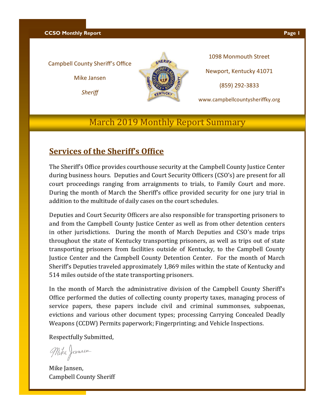**CCSO Monthly Report Page 1** 

#### Campbell County Sheriff's Office

Mike Jansen

*Sheriff*



1098 Monmouth Street Newport, Kentucky 41071 (859) 292-3833

www.campbellcountysheriffky.org

#### March 2019 Monthly Report Summary

#### **Services of the Sheriff's Office**

The Sheriff's Office provides courthouse security at the Campbell County Justice Center during business hours. Deputies and Court Security Officers (CSO's) are present for all court proceedings ranging from arraignments to trials, to Family Court and more. During the month of March the Sheriff's office provided security for one jury trial in addition to the multitude of daily cases on the court schedules.

Deputies and Court Security Officers are also responsible for transporting prisoners to and from the Campbell County Justice Center as well as from other detention centers in other jurisdictions. During the month of March Deputies and CSO's made trips throughout the state of Kentucky transporting prisoners, as well as trips out of state transporting prisoners from facilities outside of Kentucky, to the Campbell County Justice Center and the Campbell County Detention Center. For the month of March Sheriff's Deputies traveled approximately 1,869 miles within the state of Kentucky and 514 miles outside of the state transporting prisoners.

In the month of March the administrative division of the Campbell County Sheriff's Office performed the duties of collecting county property taxes, managing process of service papers, these papers include civil and criminal summonses, subpoenas, evictions and various other document types; processing Carrying Concealed Deadly Weapons (CCDW) Permits paperwork; Fingerprinting; and Vehicle Inspections.

Respectfully Submitted,

Mike Jansen

Mike Jansen, Campbell County Sheriff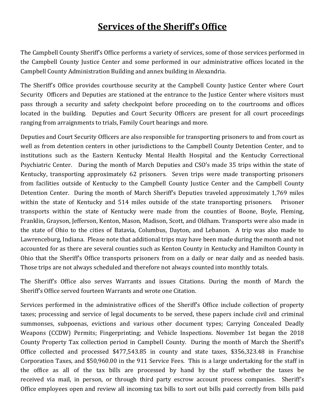### **Services of the Sheriff's Office**

The Campbell County Sheriff's Office performs a variety of services, some of those services performed in the Campbell County Justice Center and some performed in our administrative offices located in the Campbell County Administration Building and annex building in Alexandria.

The Sheriff's Office provides courthouse security at the Campbell County Justice Center where Court Security Officers and Deputies are stationed at the entrance to the Justice Center where visitors must pass through a security and safety checkpoint before proceeding on to the courtrooms and offices located in the building. Deputies and Court Security Officers are present for all court proceedings ranging from arraignments to trials, Family Court hearings and more.

Deputies and Court Security Officers are also responsible for transporting prisoners to and from court as well as from detention centers in other jurisdictions to the Campbell County Detention Center, and to institutions such as the Eastern Kentucky Mental Health Hospital and the Kentucky Correctional Psychiatric Center. During the month of March Deputies and CSO's made 35 trips within the state of Kentucky, transporting approximately 62 prisoners. Seven trips were made transporting prisoners from facilities outside of Kentucky to the Campbell County Justice Center and the Campbell County Detention Center. During the month of March Sheriff's Deputies traveled approximately 1,769 miles within the state of Kentucky and 514 miles outside of the state transporting prisoners. Prisoner transports within the state of Kentucky were made from the counties of Boone, Boyle, Fleming, Franklin, Grayson, Jefferson, Kenton, Mason, Madison, Scott, and Oldham. Transports were also made in the state of Ohio to the cities of Batavia, Columbus, Dayton, and Lebanon. A trip was also made to Lawrenceburg, Indiana. Please note that additional trips may have been made during the month and not accounted for as there are several counties such as Kenton County in Kentucky and Hamilton County in Ohio that the Sheriff's Office transports prisoners from on a daily or near daily and as needed basis. Those trips are not always scheduled and therefore not always counted into monthly totals.

The Sheriff's Office also serves Warrants and issues Citations. During the month of March the Sheriff's Office served fourteen Warrants and wrote one Citation.

Services performed in the administrative offices of the Sheriff's Office include collection of property taxes; processing and service of legal documents to be served, these papers include civil and criminal summonses, subpoenas, evictions and various other document types; Carrying Concealed Deadly Weapons (CCDW) Permits; Fingerprinting; and Vehicle Inspections. November 1st began the 2018 County Property Tax collection period in Campbell County. During the month of March the Sheriff's Office collected and processed \$477,543.85 in county and state taxes, \$356,323.48 in Franchise Corporation Taxes, and \$50,960.00 in the 911 Service Fees. This is a large undertaking for the staff in the office as all of the tax bills are processed by hand by the staff whether the taxes be received via mail, in person, or through third party escrow account process companies. Sheriff's Office employees open and review all incoming tax bills to sort out bills paid correctly from bills paid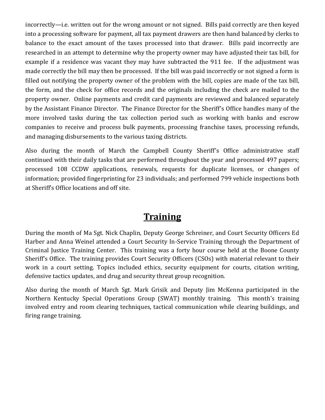incorrectly—i.e. written out for the wrong amount or not signed. Bills paid correctly are then keyed into a processing software for payment, all tax payment drawers are then hand balanced by clerks to balance to the exact amount of the taxes processed into that drawer. Bills paid incorrectly are researched in an attempt to determine why the property owner may have adjusted their tax bill, for example if a residence was vacant they may have subtracted the 911 fee. If the adjustment was made correctly the bill may then be processed. If the bill was paid incorrectly or not signed a form is filled out notifying the property owner of the problem with the bill, copies are made of the tax bill, the form, and the check for office records and the originals including the check are mailed to the property owner. Online payments and credit card payments are reviewed and balanced separately by the Assistant Finance Director. The Finance Director for the Sheriff's Office handles many of the more involved tasks during the tax collection period such as working with banks and escrow companies to receive and process bulk payments, processing franchise taxes, processing refunds, and managing disbursements to the various taxing districts.

Also during the month of March the Campbell County Sheriff's Office administrative staff continued with their daily tasks that are performed throughout the year and processed 497 papers; processed 108 CCDW applications, renewals, requests for duplicate licenses, or changes of information; provided fingerprinting for 23 individuals; and performed 799 vehicle inspections both at Sheriff's Office locations and off site.

#### **Training**

During the month of Ma Sgt. Nick Chaplin, Deputy George Schreiner, and Court Security Officers Ed Harber and Anna Weinel attended a Court Security In-Service Training through the Department of Criminal Justice Training Center. This training was a forty hour course held at the Boone County Sheriff's Office. The training provides Court Security Officers (CSOs) with material relevant to their work in a court setting. Topics included ethics, security equipment for courts, citation writing, defensive tactics updates, and drug and security threat group recognition.

Also during the month of March Sgt. Mark Grisik and Deputy Jim McKenna participated in the Northern Kentucky Special Operations Group (SWAT) monthly training. This month's training involved entry and room clearing techniques, tactical communication while clearing buildings, and firing range training.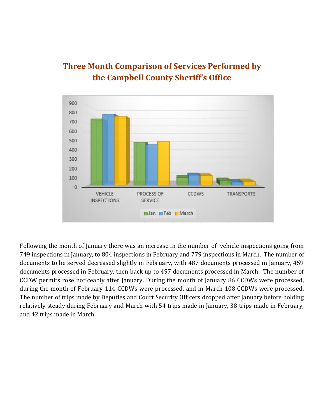

#### **Three Month Comparison of Services Performed by the Campbell County Sheriff's Office**

Following the month of January there was an increase in the number of vehicle inspections going from 749 inspections in January, to 804 inspections in February and 779 inspections in March. The number of documents to be served decreased slightly in February, with 487 documents processed in January, 459 documents processed in February, then back up to 497 documents processed in March. The number of CCDW permits rose noticeably after January. During the month of January 86 CCDWs were processed, during the month of February 114 CCDWs were processed, and in March 108 CCDWs were processed. The number of trips made by Deputies and Court Security Officers dropped after January before holding relatively steady during February and March with 54 trips made in January, 38 trips made in February, and 42 trips made in March.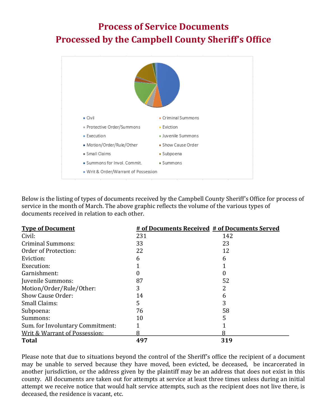## **Process of Service Documents Processed by the Campbell County Sheriff's Office**



Below is the listing of types of documents received by the Campbell County Sheriff's Office for process of service in the month of March. The above graphic reflects the volume of the various types of documents received in relation to each other.

| <b>Type of Document</b>          |     | # of Documents Received # of Documents Served |
|----------------------------------|-----|-----------------------------------------------|
| Civil:                           | 231 | 142                                           |
| <b>Criminal Summons:</b>         | 33  | 23                                            |
| Order of Protection:             | 22  | 12                                            |
| Eviction:                        | h   | h                                             |
| Execution:                       |     |                                               |
| Garnishment:                     |     |                                               |
| Juvenile Summons:                | 87  | 52                                            |
| Motion/Order/Rule/Other:         | 3   |                                               |
| Show Cause Order:                | 14  |                                               |
| Small Claims:                    | 5   |                                               |
| Subpoena:                        | 76  | 58                                            |
| Summons:                         | 10  | 5                                             |
| Sum. for Involuntary Commitment: |     |                                               |
| Writ & Warrant of Possession:    | 8   | 8                                             |
| <b>Total</b>                     | 497 | 319                                           |

Please note that due to situations beyond the control of the Sheriff's office the recipient of a document may be unable to served because they have moved, been evicted, be deceased, be incarcerated in another jurisdiction, or the address given by the plaintiff may be an address that does not exist in this county. All documents are taken out for attempts at service at least three times unless during an initial attempt we receive notice that would halt service attempts, such as the recipient does not live there, is deceased, the residence is vacant, etc.